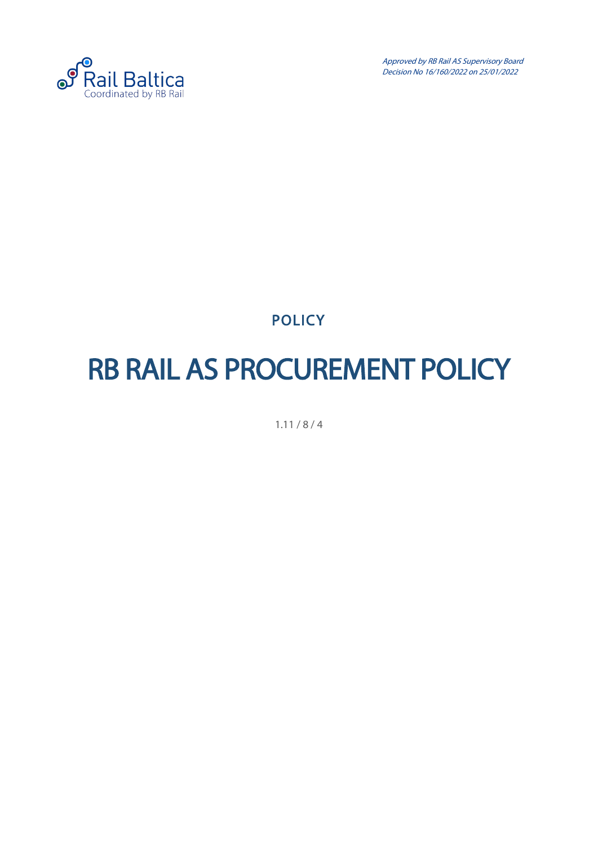

Approved by RB Rail AS Supervisory Board Decision No 16/160/2022 on 25/01/2022

**POLICY** 

## <span id="page-0-0"></span>RB RAIL AS PROCUREMENT POLICY

1.11 / 8 / 4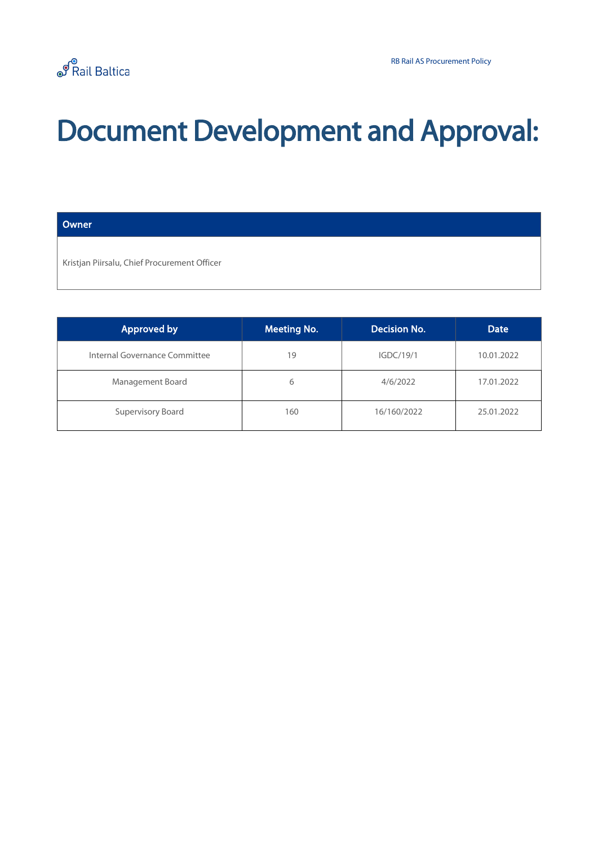## Document Development and Approval:

#### **Owner**

Kristjan Piirsalu, Chief Procurement Officer

| <b>Approved by</b>            | <b>Meeting No.</b> | Decision No. | <b>Date</b> |
|-------------------------------|--------------------|--------------|-------------|
| Internal Governance Committee | 19                 | IGDC/19/1    | 10.01.2022  |
| Management Board              | 6                  | 4/6/2022     | 17.01.2022  |
| Supervisory Board             | 160                | 16/160/2022  | 25.01.2022  |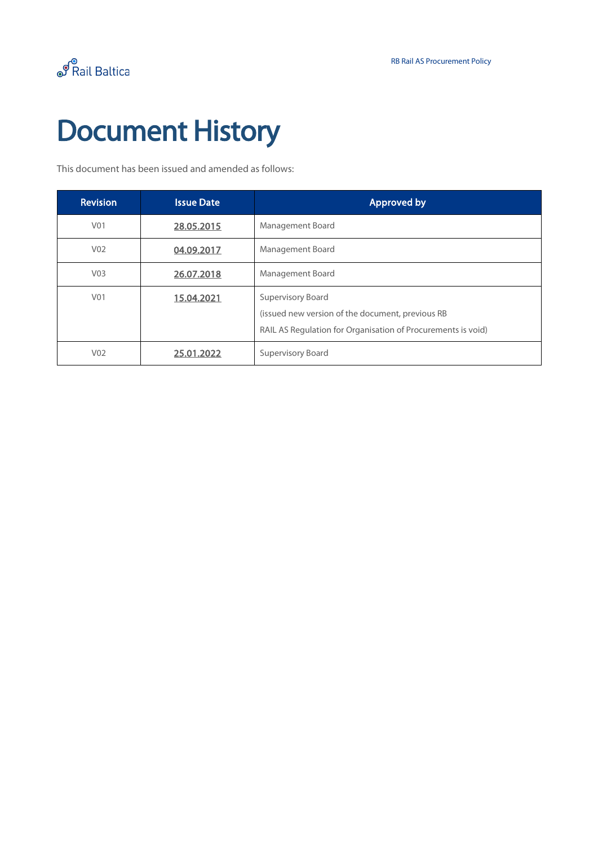# Document History

This document has been issued and amended as follows:

| <b>Revision</b>  | <b>Issue Date</b> | <b>Approved by</b>                                                                                                                    |
|------------------|-------------------|---------------------------------------------------------------------------------------------------------------------------------------|
| V <sub>01</sub>  | 28.05.2015        | Management Board                                                                                                                      |
| V <sub>02</sub>  | 04.09.2017        | Management Board                                                                                                                      |
| V <sub>03</sub>  | 26.07.2018        | Management Board                                                                                                                      |
| V <sub>0</sub> 1 | 15.04.2021        | Supervisory Board<br>(issued new version of the document, previous RB<br>RAIL AS Regulation for Organisation of Procurements is void) |
| V <sub>02</sub>  | 25.01.2022        | <b>Supervisory Board</b>                                                                                                              |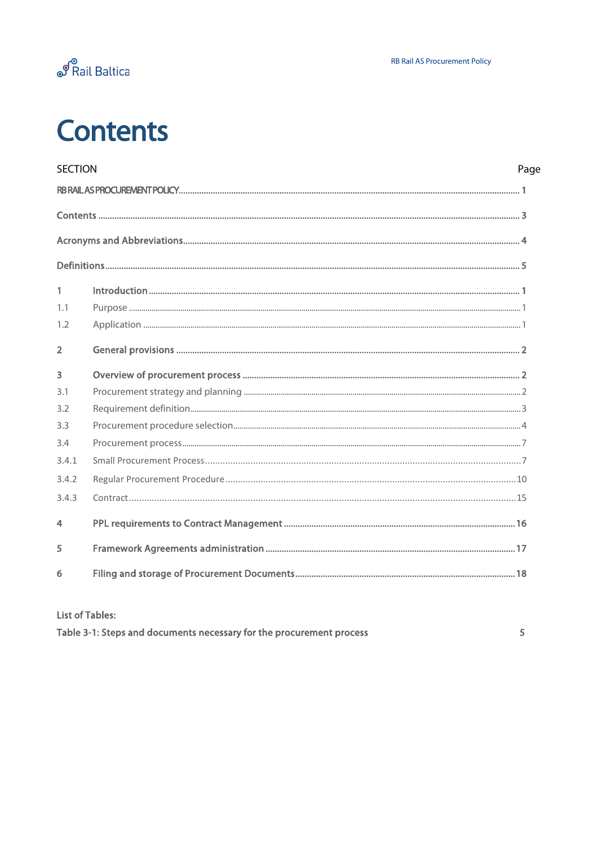

## <span id="page-3-0"></span>**Contents**

| <b>SECTION</b> | Page |
|----------------|------|
|                |      |
|                |      |
|                |      |
|                |      |
| 1              |      |
| 1.1            |      |
| 1.2            |      |
| $\overline{2}$ |      |
| 3              |      |
| 3.1            |      |
| 3.2            |      |
| 3.3            |      |
| 3.4            |      |
| 3.4.1          |      |
| 3.4.2          |      |
| 3.4.3          |      |
| 4              |      |
| 5              |      |
| 6              |      |
|                |      |

#### **List of Tables:**

| Table 3-1: Steps and documents necessary for the procurement process |  |
|----------------------------------------------------------------------|--|
|                                                                      |  |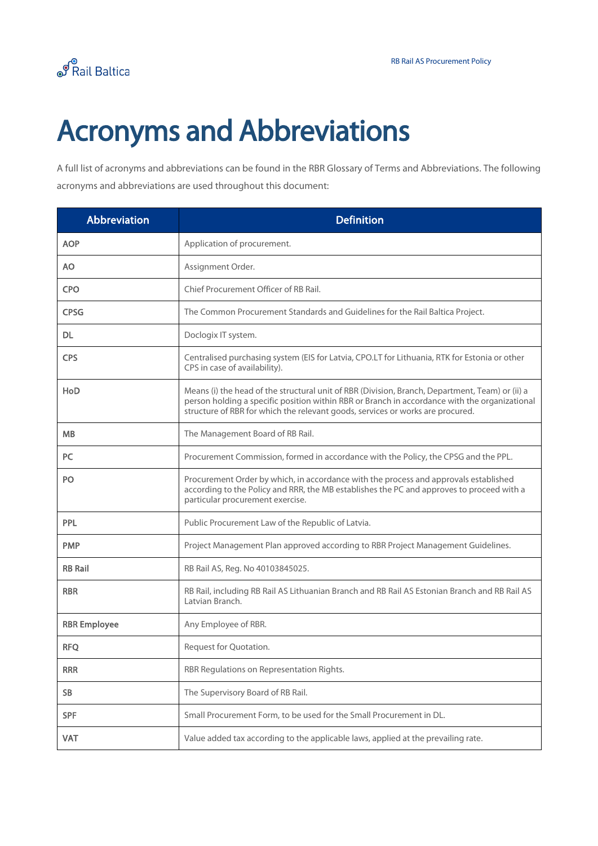

## <span id="page-4-0"></span>Acronyms and Abbreviations

A full list of acronyms and abbreviations can be found in the RBR Glossary of Terms and Abbreviations. The following acronyms and abbreviations are used throughout this document:

| <b>Abbreviation</b> | <b>Definition</b>                                                                                                                                                                                                                                                                  |
|---------------------|------------------------------------------------------------------------------------------------------------------------------------------------------------------------------------------------------------------------------------------------------------------------------------|
| <b>AOP</b>          | Application of procurement.                                                                                                                                                                                                                                                        |
| <b>AO</b>           | Assignment Order.                                                                                                                                                                                                                                                                  |
| <b>CPO</b>          | Chief Procurement Officer of RB Rail.                                                                                                                                                                                                                                              |
| <b>CPSG</b>         | The Common Procurement Standards and Guidelines for the Rail Baltica Project.                                                                                                                                                                                                      |
| DL.                 | Doclogix IT system.                                                                                                                                                                                                                                                                |
| <b>CPS</b>          | Centralised purchasing system (EIS for Latvia, CPO.LT for Lithuania, RTK for Estonia or other<br>CPS in case of availability).                                                                                                                                                     |
| HoD                 | Means (i) the head of the structural unit of RBR (Division, Branch, Department, Team) or (ii) a<br>person holding a specific position within RBR or Branch in accordance with the organizational<br>structure of RBR for which the relevant goods, services or works are procured. |
| <b>MB</b>           | The Management Board of RB Rail.                                                                                                                                                                                                                                                   |
| <b>PC</b>           | Procurement Commission, formed in accordance with the Policy, the CPSG and the PPL.                                                                                                                                                                                                |
| PO                  | Procurement Order by which, in accordance with the process and approvals established<br>according to the Policy and RRR, the MB establishes the PC and approves to proceed with a<br>particular procurement exercise.                                                              |
| PPL                 | Public Procurement Law of the Republic of Latvia.                                                                                                                                                                                                                                  |
| <b>PMP</b>          | Project Management Plan approved according to RBR Project Management Guidelines.                                                                                                                                                                                                   |
| <b>RB Rail</b>      | RB Rail AS, Reg. No 40103845025.                                                                                                                                                                                                                                                   |
| <b>RBR</b>          | RB Rail, including RB Rail AS Lithuanian Branch and RB Rail AS Estonian Branch and RB Rail AS<br>Latvian Branch.                                                                                                                                                                   |
| <b>RBR Employee</b> | Any Employee of RBR.                                                                                                                                                                                                                                                               |
| <b>RFQ</b>          | Request for Quotation.                                                                                                                                                                                                                                                             |
| <b>RRR</b>          | RBR Regulations on Representation Rights.                                                                                                                                                                                                                                          |
| <b>SB</b>           | The Supervisory Board of RB Rail.                                                                                                                                                                                                                                                  |
| <b>SPF</b>          | Small Procurement Form, to be used for the Small Procurement in DL.                                                                                                                                                                                                                |
| <b>VAT</b>          | Value added tax according to the applicable laws, applied at the prevailing rate.                                                                                                                                                                                                  |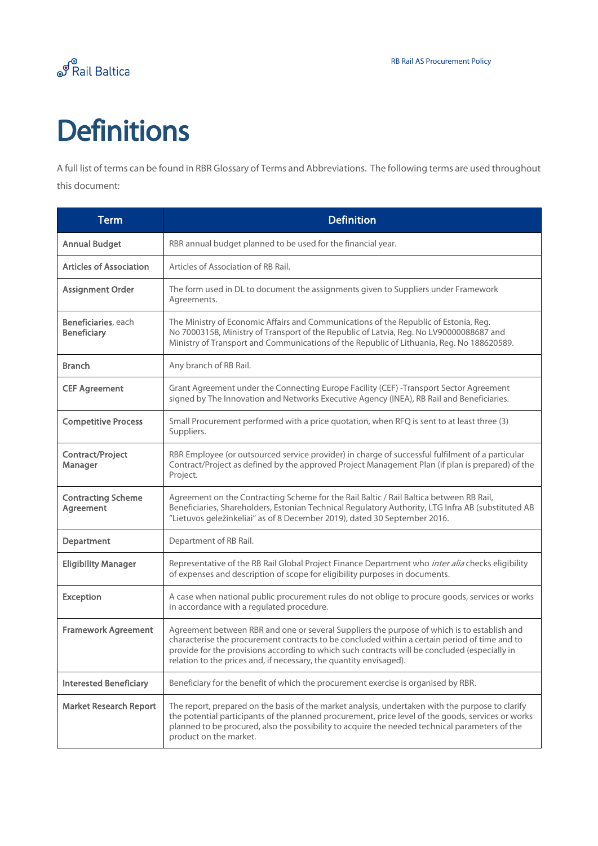

## <span id="page-5-0"></span>**Definitions**

A full list of terms can be found in RBR Glossary of Terms and Abbreviations. The following terms are used throughout this document:

| <b>Term</b>                               | <b>Definition</b>                                                                                                                                                                                                                                                                                                                                                   |
|-------------------------------------------|---------------------------------------------------------------------------------------------------------------------------------------------------------------------------------------------------------------------------------------------------------------------------------------------------------------------------------------------------------------------|
| <b>Annual Budget</b>                      | RBR annual budget planned to be used for the financial year.                                                                                                                                                                                                                                                                                                        |
| <b>Articles of Association</b>            | Articles of Association of RB Rail.                                                                                                                                                                                                                                                                                                                                 |
| <b>Assignment Order</b>                   | The form used in DL to document the assignments given to Suppliers under Framework<br>Agreements.                                                                                                                                                                                                                                                                   |
| Beneficiaries, each<br><b>Beneficiary</b> | The Ministry of Economic Affairs and Communications of the Republic of Estonia, Reg.<br>No 70003158, Ministry of Transport of the Republic of Latvia, Reg. No LV90000088687 and<br>Ministry of Transport and Communications of the Republic of Lithuania, Reg. No 188620589.                                                                                        |
| <b>Branch</b>                             | Any branch of RB Rail.                                                                                                                                                                                                                                                                                                                                              |
| <b>CEF Agreement</b>                      | Grant Agreement under the Connecting Europe Facility (CEF) -Transport Sector Agreement<br>signed by The Innovation and Networks Executive Agency (INEA), RB Rail and Beneficiaries.                                                                                                                                                                                 |
| <b>Competitive Process</b>                | Small Procurement performed with a price quotation, when RFQ is sent to at least three (3)<br>Suppliers.                                                                                                                                                                                                                                                            |
| Contract/Project<br>Manager               | RBR Employee (or outsourced service provider) in charge of successful fulfilment of a particular<br>Contract/Project as defined by the approved Project Management Plan (if plan is prepared) of the<br>Project.                                                                                                                                                    |
| <b>Contracting Scheme</b><br>Agreement    | Agreement on the Contracting Scheme for the Rail Baltic / Rail Baltica between RB Rail,<br>Beneficiaries, Shareholders, Estonian Technical Regulatory Authority, LTG Infra AB (substituted AB<br>"Lietuvos geležinkeliai" as of 8 December 2019), dated 30 September 2016.                                                                                          |
| Department                                | Department of RB Rail.                                                                                                                                                                                                                                                                                                                                              |
| <b>Eligibility Manager</b>                | Representative of the RB Rail Global Project Finance Department who inter alia checks eligibility<br>of expenses and description of scope for eligibility purposes in documents.                                                                                                                                                                                    |
| <b>Exception</b>                          | A case when national public procurement rules do not oblige to procure goods, services or works<br>in accordance with a regulated procedure.                                                                                                                                                                                                                        |
| <b>Framework Agreement</b>                | Agreement between RBR and one or several Suppliers the purpose of which is to establish and<br>characterise the procurement contracts to be concluded within a certain period of time and to<br>provide for the provisions according to which such contracts will be concluded (especially in<br>relation to the prices and, if necessary, the quantity envisaged). |
| <b>Interested Beneficiary</b>             | Beneficiary for the benefit of which the procurement exercise is organised by RBR.                                                                                                                                                                                                                                                                                  |
| <b>Market Research Report</b>             | The report, prepared on the basis of the market analysis, undertaken with the purpose to clarify<br>the potential participants of the planned procurement, price level of the goods, services or works<br>planned to be procured, also the possibility to acquire the needed technical parameters of the<br>product on the market.                                  |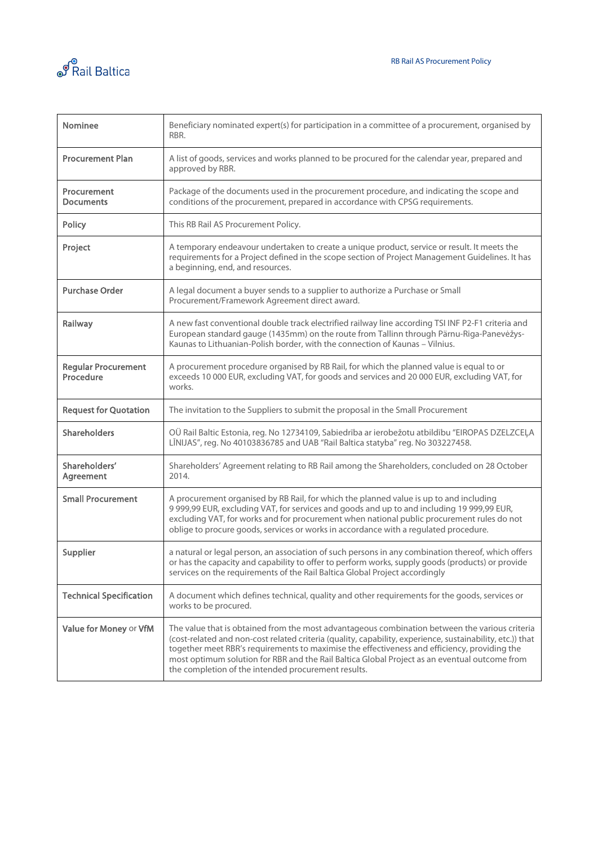



| <b>Nominee</b>                          | Beneficiary nominated expert(s) for participation in a committee of a procurement, organised by<br>RBR.                                                                                                                                                                                                                                                                                                                                                             |
|-----------------------------------------|---------------------------------------------------------------------------------------------------------------------------------------------------------------------------------------------------------------------------------------------------------------------------------------------------------------------------------------------------------------------------------------------------------------------------------------------------------------------|
| <b>Procurement Plan</b>                 | A list of goods, services and works planned to be procured for the calendar year, prepared and<br>approved by RBR.                                                                                                                                                                                                                                                                                                                                                  |
| Procurement<br><b>Documents</b>         | Package of the documents used in the procurement procedure, and indicating the scope and<br>conditions of the procurement, prepared in accordance with CPSG requirements.                                                                                                                                                                                                                                                                                           |
| Policy                                  | This RB Rail AS Procurement Policy.                                                                                                                                                                                                                                                                                                                                                                                                                                 |
| Project                                 | A temporary endeavour undertaken to create a unique product, service or result. It meets the<br>requirements for a Project defined in the scope section of Project Management Guidelines. It has<br>a beginning, end, and resources.                                                                                                                                                                                                                                |
| <b>Purchase Order</b>                   | A legal document a buyer sends to a supplier to authorize a Purchase or Small<br>Procurement/Framework Agreement direct award.                                                                                                                                                                                                                                                                                                                                      |
| Railway                                 | A new fast conventional double track electrified railway line according TSI INF P2-F1 criteria and<br>European standard gauge (1435mm) on the route from Tallinn through Pärnu-Riga-Panevėžys-<br>Kaunas to Lithuanian-Polish border, with the connection of Kaunas - Vilnius.                                                                                                                                                                                      |
| <b>Regular Procurement</b><br>Procedure | A procurement procedure organised by RB Rail, for which the planned value is equal to or<br>exceeds 10 000 EUR, excluding VAT, for goods and services and 20 000 EUR, excluding VAT, for<br>works.                                                                                                                                                                                                                                                                  |
| <b>Request for Quotation</b>            | The invitation to the Suppliers to submit the proposal in the Small Procurement                                                                                                                                                                                                                                                                                                                                                                                     |
| <b>Shareholders</b>                     | OÜ Rail Baltic Estonia, reg. No 12734109, Sabiedrība ar ierobežotu atbildību "EIROPAS DZELZCEĻA<br>LĪNIJAS", reg. No 40103836785 and UAB "Rail Baltica statyba" reg. No 303227458.                                                                                                                                                                                                                                                                                  |
| Shareholders'<br>Agreement              | Shareholders' Agreement relating to RB Rail among the Shareholders, concluded on 28 October<br>2014.                                                                                                                                                                                                                                                                                                                                                                |
| <b>Small Procurement</b>                | A procurement organised by RB Rail, for which the planned value is up to and including<br>9 999,99 EUR, excluding VAT, for services and goods and up to and including 19 999,99 EUR,<br>excluding VAT, for works and for procurement when national public procurement rules do not<br>oblige to procure goods, services or works in accordance with a regulated procedure.                                                                                          |
| Supplier                                | a natural or legal person, an association of such persons in any combination thereof, which offers<br>or has the capacity and capability to offer to perform works, supply goods (products) or provide<br>services on the requirements of the Rail Baltica Global Project accordingly                                                                                                                                                                               |
| <b>Technical Specification</b>          | A document which defines technical, quality and other requirements for the goods, services or<br>works to be procured.                                                                                                                                                                                                                                                                                                                                              |
| Value for Money or VfM                  | The value that is obtained from the most advantageous combination between the various criteria<br>(cost-related and non-cost related criteria (quality, capability, experience, sustainability, etc.)) that<br>together meet RBR's requirements to maximise the effectiveness and efficiency, providing the<br>most optimum solution for RBR and the Rail Baltica Global Project as an eventual outcome from<br>the completion of the intended procurement results. |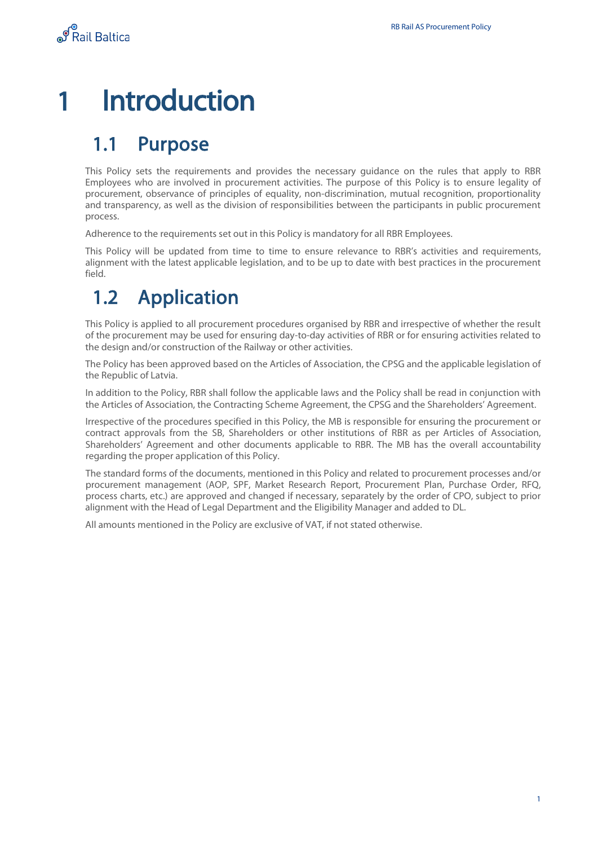## <span id="page-7-0"></span>1 Introduction

### <span id="page-7-1"></span>1.1 Purpose

This Policy sets the requirements and provides the necessary guidance on the rules that apply to RBR Employees who are involved in procurement activities. The purpose of this Policy is to ensure legality of procurement, observance of principles of equality, non-discrimination, mutual recognition, proportionality and transparency, as well as the division of responsibilities between the participants in public procurement process.

Adherence to the requirements set out in this Policy is mandatory for all RBR Employees.

This Policy will be updated from time to time to ensure relevance to RBR's activities and requirements, alignment with the latest applicable legislation, and to be up to date with best practices in the procurement field.

### <span id="page-7-2"></span>1.2 Application

This Policy is applied to all procurement procedures organised by RBR and irrespective of whether the result of the procurement may be used for ensuring day-to-day activities of RBR or for ensuring activities related to the design and/or construction of the Railway or other activities.

The Policy has been approved based on the Articles of Association, the CPSG and the applicable legislation of the Republic of Latvia.

In addition to the Policy, RBR shall follow the applicable laws and the Policy shall be read in conjunction with the Articles of Association, the Contracting Scheme Agreement, the CPSG and the Shareholders' Agreement.

Irrespective of the procedures specified in this Policy, the MB is responsible for ensuring the procurement or contract approvals from the SB, Shareholders or other institutions of RBR as per Articles of Association, Shareholders' Agreement and other documents applicable to RBR. The MB has the overall accountability regarding the proper application of this Policy.

The standard forms of the documents, mentioned in this Policy and related to procurement processes and/or procurement management (AOP, SPF, Market Research Report, Procurement Plan, Purchase Order, RFQ, process charts, etc.) are approved and changed if necessary, separately by the order of CPO, subject to prior alignment with the Head of Legal Department and the Eligibility Manager and added to DL.

All amounts mentioned in the Policy are exclusive of VAT, if not stated otherwise.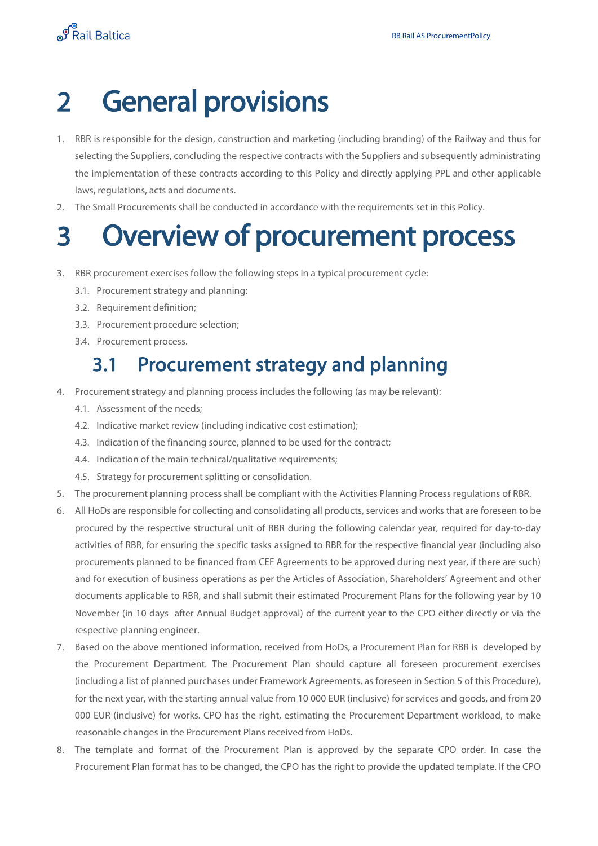## <span id="page-8-0"></span>2 General provisions

- 1. RBR is responsible for the design, construction and marketing (including branding) of the Railway and thus for selecting the Suppliers, concluding the respective contracts with the Suppliers and subsequently administrating the implementation of these contracts according to this Policy and directly applying PPL and other applicable laws, regulations, acts and documents.
- 2. The Small Procurements shall be conducted in accordance with the requirements set in this Policy.

## <span id="page-8-1"></span>3 Overview of procurement process

- 3. RBR procurement exercises follow the following steps in a typical procurement cycle:
	- 3.1. Procurement strategy and planning:
	- 3.2. Requirement definition;
	- 3.3. Procurement procedure selection;
	- 3.4. Procurement process.

### 3.1 Procurement strategy and planning

- <span id="page-8-2"></span>4. Procurement strategy and planning process includes the following (as may be relevant):
	- 4.1. Assessment of the needs;
	- 4.2. Indicative market review (including indicative cost estimation);
	- 4.3. Indication of the financing source, planned to be used for the contract;
	- 4.4. Indication of the main technical/qualitative requirements;
	- 4.5. Strategy for procurement splitting or consolidation.
- 5. The procurement planning process shall be compliant with the Activities Planning Process regulations of RBR.
- <span id="page-8-3"></span>6. All HoDs are responsible for collecting and consolidating all products, services and works that are foreseen to be procured by the respective structural unit of RBR during the following calendar year, required for day-to-day activities of RBR, for ensuring the specific tasks assigned to RBR for the respective financial year (including also procurements planned to be financed from CEF Agreements to be approved during next year, if there are such) and for execution of business operations as per the Articles of Association, Shareholders' Agreement and other documents applicable to RBR, and shall submit their estimated Procurement Plans for the following year by 10 November (in 10 days after Annual Budget approval) of the current year to the CPO either directly or via the respective planning engineer.
- 7. Based on the above mentioned information, received from HoDs, a Procurement Plan for RBR is developed by the Procurement Department. The Procurement Plan should capture all foreseen procurement exercises (including a list of planned purchases under Framework Agreements, as foreseen in Section 5 of this Procedure), for the next year, with the starting annual value from 10 000 EUR (inclusive) for services and goods, and from 20 000 EUR (inclusive) for works. CPO has the right, estimating the Procurement Department workload, to make reasonable changes in the Procurement Plans received from HoDs.
- 8. The template and format of the Procurement Plan is approved by the separate CPO order. In case the Procurement Plan format has to be changed, the CPO has the right to provide the updated template. If the CPO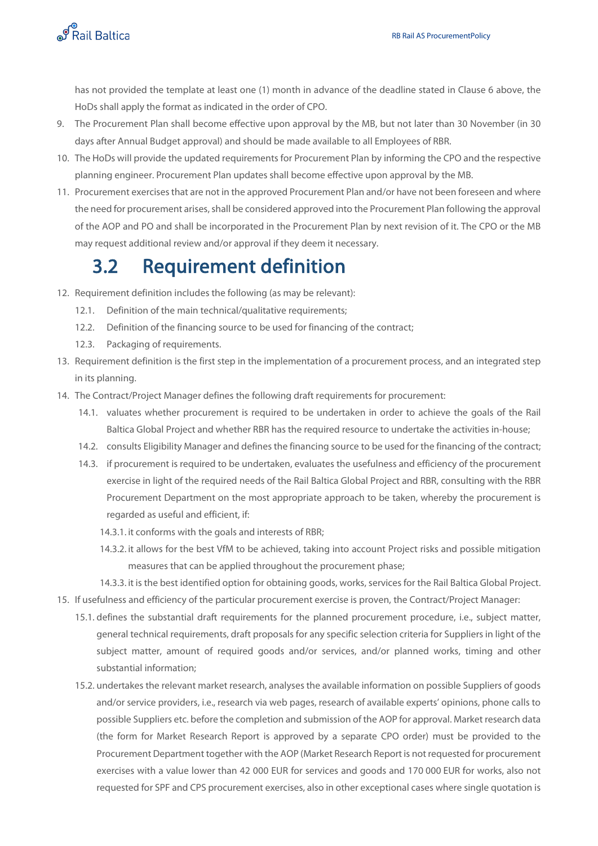

has not provided the template at least one (1) month in advance of the deadline stated in Clause [6](#page-8-3) above, the HoDs shall apply the format as indicated in the order of CPO.

- 9. The Procurement Plan shall become effective upon approval by the MB, but not later than 30 November (in 30 days after Annual Budget approval) and should be made available to all Employees of RBR.
- 10. The HoDs will provide the updated requirements for Procurement Plan by informing the CPO and the respective planning engineer. Procurement Plan updates shall become effective upon approval by the MB.
- 11. Procurement exercises that are not in the approved Procurement Plan and/or have not been foreseen and where the need for procurement arises, shall be considered approved into the Procurement Plan following the approval of the AOP and PO and shall be incorporated in the Procurement Plan by next revision of it. The CPO or the MB may request additional review and/or approval if they deem it necessary.

### <span id="page-9-0"></span>3.2 Requirement definition

- 12. Requirement definition includes the following (as may be relevant):
	- 12.1. Definition of the main technical/qualitative requirements;
	- 12.2. Definition of the financing source to be used for financing of the contract;
	- 12.3. Packaging of requirements.
- 13. Requirement definition is the first step in the implementation of a procurement process, and an integrated step in its planning.
- 14. The Contract/Project Manager defines the following draft requirements for procurement:
	- 14.1. valuates whether procurement is required to be undertaken in order to achieve the goals of the Rail Baltica Global Project and whether RBR has the required resource to undertake the activities in-house;
	- 14.2. consults Eligibility Manager and defines the financing source to be used for the financing of the contract;
	- 14.3. if procurement is required to be undertaken, evaluates the usefulness and efficiency of the procurement exercise in light of the required needs of the Rail Baltica Global Project and RBR, consulting with the RBR Procurement Department on the most appropriate approach to be taken, whereby the procurement is regarded as useful and efficient, if:
		- 14.3.1. it conforms with the goals and interests of RBR;
		- 14.3.2. it allows for the best VfM to be achieved, taking into account Project risks and possible mitigation measures that can be applied throughout the procurement phase;
		- 14.3.3. it is the best identified option for obtaining goods, works, services for the Rail Baltica Global Project.
- 15. If usefulness and efficiency of the particular procurement exercise is proven, the Contract/Project Manager:
	- 15.1. defines the substantial draft requirements for the planned procurement procedure, i.e., subject matter, general technical requirements, draft proposals for any specific selection criteria for Suppliers in light of the subject matter, amount of required goods and/or services, and/or planned works, timing and other substantial information;
	- 15.2. undertakes the relevant market research, analyses the available information on possible Suppliers of goods and/or service providers, i.e., research via web pages, research of available experts' opinions, phone calls to possible Suppliers etc. before the completion and submission of the AOP for approval. Market research data (the form for Market Research Report is approved by a separate CPO order) must be provided to the Procurement Department together with the AOP (Market Research Report is not requested for procurement exercises with a value lower than 42 000 EUR for services and goods and 170 000 EUR for works, also not requested for SPF and CPS procurement exercises, also in other exceptional cases where single quotation is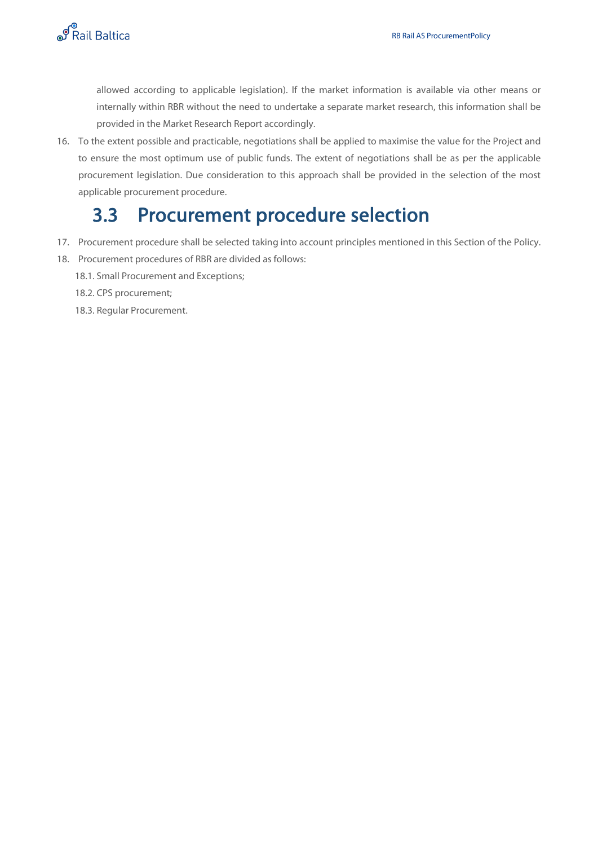

allowed according to applicable legislation). If the market information is available via other means or internally within RBR without the need to undertake a separate market research, this information shall be provided in the Market Research Report accordingly.

16. To the extent possible and practicable, negotiations shall be applied to maximise the value for the Project and to ensure the most optimum use of public funds. The extent of negotiations shall be as per the applicable procurement legislation. Due consideration to this approach shall be provided in the selection of the most applicable procurement procedure.

### 3.3 Procurement procedure selection

- <span id="page-10-0"></span>17. Procurement procedure shall be selected taking into account principles mentioned in this Section of the Policy.
- 18. Procurement procedures of RBR are divided as follows:
	- 18.1. Small Procurement and Exceptions;
	- 18.2. CPS procurement;
	- 18.3. Regular Procurement.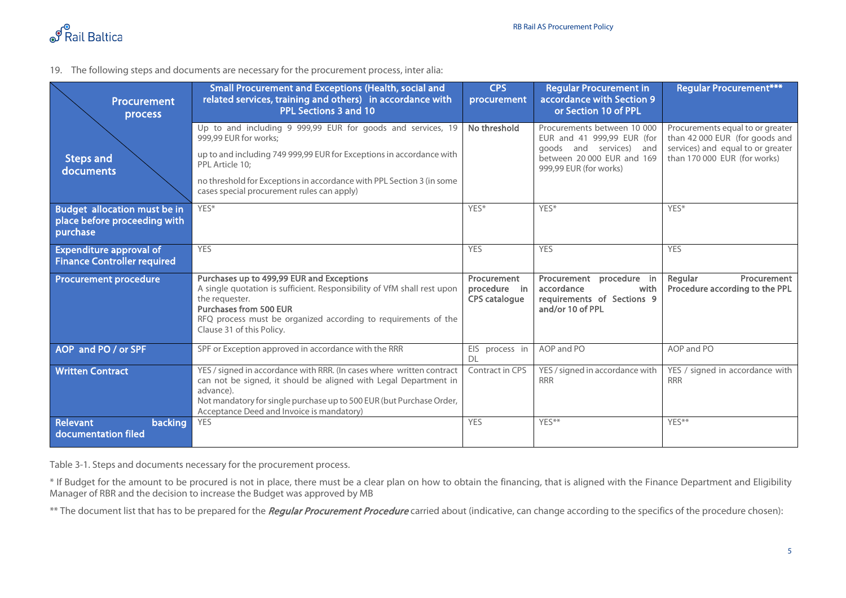

19. The following steps and documents are necessary for the procurement process, inter alia:

| <b>Procurement</b><br>process                                            | Small Procurement and Exceptions (Health, social and<br>related services, training and others) in accordance with<br><b>PPL Sections 3 and 10</b>                                                                                                                           | <b>CPS</b><br>procurement                           | <b>Regular Procurement in</b><br>accordance with Section 9<br>or Section 10 of PPL                                                           | <b>Regular Procurement***</b>                                                                                                           |
|--------------------------------------------------------------------------|-----------------------------------------------------------------------------------------------------------------------------------------------------------------------------------------------------------------------------------------------------------------------------|-----------------------------------------------------|----------------------------------------------------------------------------------------------------------------------------------------------|-----------------------------------------------------------------------------------------------------------------------------------------|
| <b>Steps and</b><br>documents                                            | Up to and including 9 999,99 EUR for goods and services, 19<br>999,99 EUR for works;<br>up to and including 749 999,99 EUR for Exceptions in accordance with<br>PPL Article 10:                                                                                             | No threshold                                        | Procurements between 10 000<br>EUR and 41 999,99 EUR (for<br>goods and services) and<br>between 20,000 EUR and 169<br>999,99 EUR (for works) | Procurements equal to or greater<br>than 42 000 EUR (for goods and<br>services) and equal to or greater<br>than 170 000 EUR (for works) |
|                                                                          | no threshold for Exceptions in accordance with PPL Section 3 (in some<br>cases special procurement rules can apply)                                                                                                                                                         |                                                     |                                                                                                                                              |                                                                                                                                         |
| Budget allocation must be in<br>place before proceeding with<br>purchase | YES*                                                                                                                                                                                                                                                                        | YES*                                                | YES*                                                                                                                                         | YES*                                                                                                                                    |
| <b>Expenditure approval of</b><br><b>Finance Controller required</b>     | <b>YES</b>                                                                                                                                                                                                                                                                  | <b>YES</b>                                          | <b>YES</b>                                                                                                                                   | <b>YES</b>                                                                                                                              |
| <b>Procurement procedure</b>                                             | Purchases up to 499,99 EUR and Exceptions<br>A single quotation is sufficient. Responsibility of VfM shall rest upon<br>the requester.<br><b>Purchases from 500 EUR</b><br>RFQ process must be organized according to requirements of the<br>Clause 31 of this Policy.      | Procurement<br>procedure in<br><b>CPS catalogue</b> | procedure in<br>Procurement<br>accordance<br>with<br>requirements of Sections 9<br>and/or 10 of PPL                                          | Regular<br>Procurement<br>Procedure according to the PPL                                                                                |
| AOP and PO / or SPF                                                      | SPF or Exception approved in accordance with the RRR                                                                                                                                                                                                                        | EIS process in<br>DI                                | AOP and PO                                                                                                                                   | AOP and PO                                                                                                                              |
| <b>Written Contract</b>                                                  | YES / signed in accordance with RRR. (In cases where written contract<br>can not be signed, it should be aligned with Legal Department in<br>advance).<br>Not mandatory for single purchase up to 500 EUR (but Purchase Order,<br>Acceptance Deed and Invoice is mandatory) | Contract in CPS                                     | YES / signed in accordance with<br><b>RRR</b>                                                                                                | YES / signed in accordance with<br><b>RRR</b>                                                                                           |
| Relevant<br>backing<br>documentation filed                               | <b>YES</b>                                                                                                                                                                                                                                                                  | <b>YES</b>                                          | YFS**                                                                                                                                        | YFS**                                                                                                                                   |

Table 3-1. Steps and documents necessary for the procurement process.

\* If Budget for the amount to be procured is not in place, there must be a clear plan on how to obtain the financing, that is aligned with the Finance Department and Eligibility Manager of RBR and the decision to increase the Budget was approved by MB

\*\* The document list that has to be prepared for the *Regular Procurement Procedure* carried about (indicative, can change according to the specifics of the procedure chosen):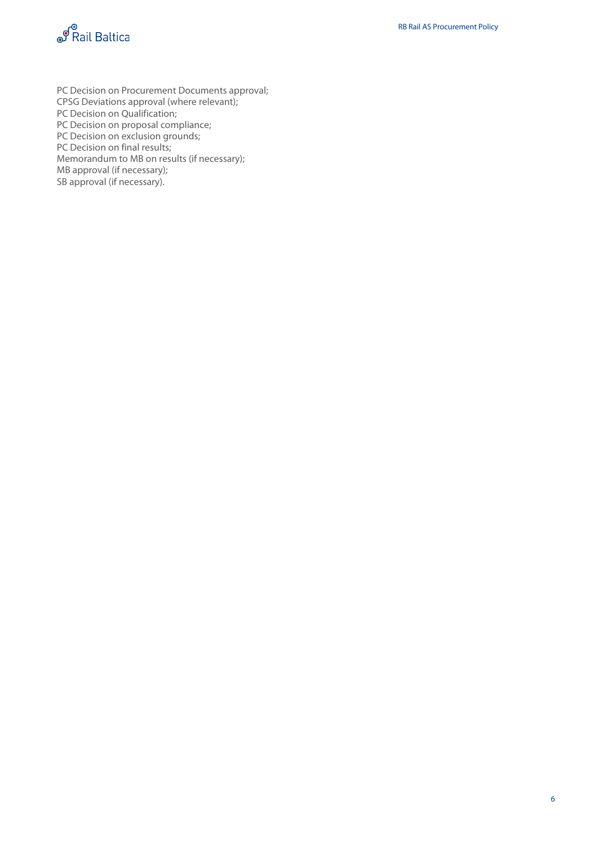

PC Decision on Procurement Documents approval; CPSG Deviations approval (where relevant); PC Decision on Qualification; PC Decision on proposal compliance; PC Decision on exclusion grounds; PC Decision on final results; Memorandum to MB on results (if necessary); MB approval (if necessary);

SB approval (if necessary).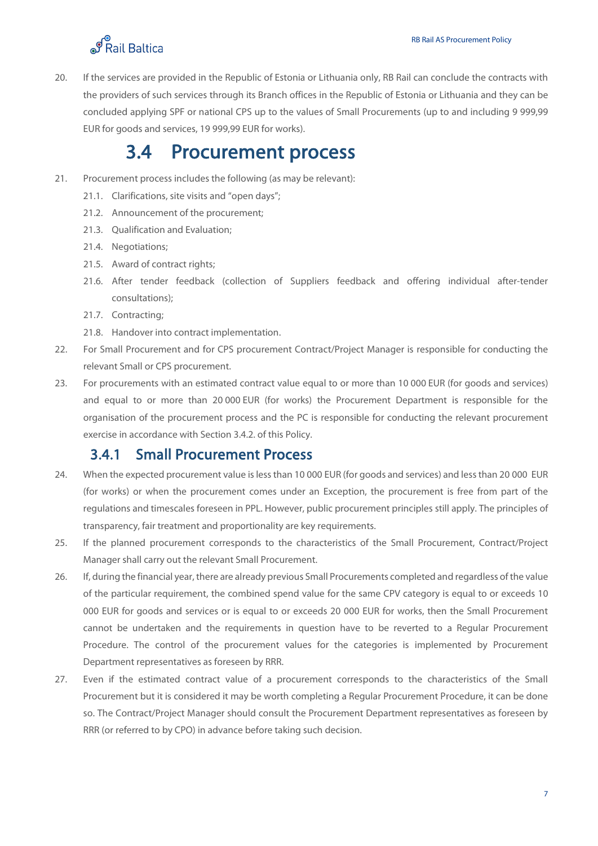20. If the services are provided in the Republic of Estonia or Lithuania only, RB Rail can conclude the contracts with the providers of such services through its Branch offices in the Republic of Estonia or Lithuania and they can be concluded applying SPF or national CPS up to the values of Small Procurements (up to and including 9 999,99 EUR for goods and services, 19 999,99 EUR for works).

### <span id="page-13-0"></span>3.4 Procurement process

- 21. Procurement process includes the following (as may be relevant):
	- 21.1. Clarifications, site visits and "open days";
	- 21.2. Announcement of the procurement;
	- 21.3. Qualification and Evaluation;
	- 21.4. Negotiations;
	- 21.5. Award of contract rights;
	- 21.6. After tender feedback (collection of Suppliers feedback and offering individual after-tender consultations);
	- 21.7. Contracting;
	- 21.8. Handover into contract implementation.
- 22. For Small Procurement and for CPS procurement Contract/Project Manager is responsible for conducting the relevant Small or CPS procurement.
- 23. For procurements with an estimated contract value equal to or more than 10 000 EUR (for goods and services) and equal to or more than 20 000 EUR (for works) the Procurement Department is responsible for the organisation of the procurement process and the PC is responsible for conducting the relevant procurement exercise in accordance with Section 3.4.2. of this Policy.

#### <span id="page-13-1"></span>3.4.1 Small Procurement Process

- 24. When the expected procurement value is less than 10 000 EUR (for goods and services) and less than 20 000 EUR (for works) or when the procurement comes under an Exception, the procurement is free from part of the regulations and timescales foreseen in PPL. However, public procurement principles still apply. The principles of transparency, fair treatment and proportionality are key requirements.
- 25. If the planned procurement corresponds to the characteristics of the Small Procurement, Contract/Project Manager shall carry out the relevant Small Procurement.
- 26. If, during the financial year, there are already previous Small Procurements completed and regardless of the value of the particular requirement, the combined spend value for the same CPV category is equal to or exceeds 10 000 EUR for goods and services or is equal to or exceeds 20 000 EUR for works, then the Small Procurement cannot be undertaken and the requirements in question have to be reverted to a Regular Procurement Procedure. The control of the procurement values for the categories is implemented by Procurement Department representatives as foreseen by RRR.
- 27. Even if the estimated contract value of a procurement corresponds to the characteristics of the Small Procurement but it is considered it may be worth completing a Regular Procurement Procedure, it can be done so. The Contract/Project Manager should consult the Procurement Department representatives as foreseen by RRR (or referred to by CPO) in advance before taking such decision.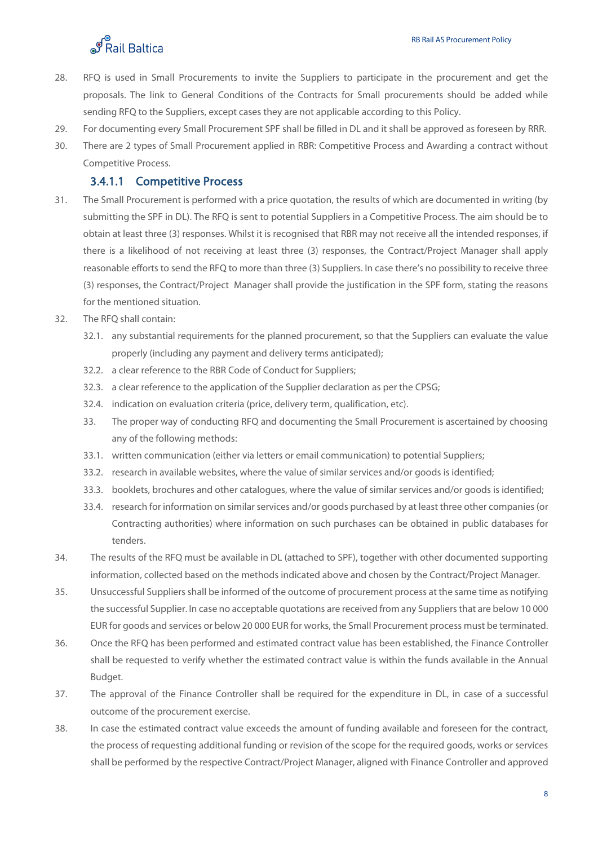

- 28. RFQ is used in Small Procurements to invite the Suppliers to participate in the procurement and get the proposals. The link to General Conditions of the Contracts for Small procurements should be added while sending RFQ to the Suppliers, except cases they are not applicable according to this Policy.
- 29. For documenting every Small Procurement SPF shall be filled in DL and it shall be approved as foreseen by RRR.
- 30. There are 2 types of Small Procurement applied in RBR: Competitive Process and Awarding a contract without Competitive Process.

#### 3.4.1.1 Competitive Process

- 31. The Small Procurement is performed with a price quotation, the results of which are documented in writing (by submitting the SPF in DL). The RFQ is sent to potential Suppliers in a Competitive Process. The aim should be to obtain at least three (3) responses. Whilst it is recognised that RBR may not receive all the intended responses, if there is a likelihood of not receiving at least three (3) responses, the Contract/Project Manager shall apply reasonable efforts to send the RFQ to more than three (3) Suppliers. In case there's no possibility to receive three (3) responses, the Contract/Project Manager shall provide the justification in the SPF form, stating the reasons for the mentioned situation.
- 32. The RFQ shall contain:
	- 32.1. any substantial requirements for the planned procurement, so that the Suppliers can evaluate the value properly (including any payment and delivery terms anticipated);
	- 32.2. a clear reference to the RBR Code of Conduct for Suppliers;
	- 32.3. a clear reference to the application of the Supplier declaration as per the CPSG;
	- 32.4. indication on evaluation criteria (price, delivery term, qualification, etc).
	- 33. The proper way of conducting RFQ and documenting the Small Procurement is ascertained by choosing any of the following methods:
	- 33.1. written communication (either via letters or email communication) to potential Suppliers;
	- 33.2. research in available websites, where the value of similar services and/or goods is identified;
	- 33.3. booklets, brochures and other catalogues, where the value of similar services and/or goods is identified;
	- 33.4. research for information on similar services and/or goods purchased by at least three other companies (or Contracting authorities) where information on such purchases can be obtained in public databases for tenders.
- 34. The results of the RFQ must be available in DL (attached to SPF), together with other documented supporting information, collected based on the methods indicated above and chosen by the Contract/Project Manager.
- 35. Unsuccessful Suppliers shall be informed of the outcome of procurement process at the same time as notifying the successful Supplier. In case no acceptable quotations are received from any Suppliers that are below 10 000 EUR for goods and services or below 20 000 EUR for works, the Small Procurement process must be terminated.
- 36. Once the RFQ has been performed and estimated contract value has been established, the Finance Controller shall be requested to verify whether the estimated contract value is within the funds available in the Annual Budget.
- 37. The approval of the Finance Controller shall be required for the expenditure in DL, in case of a successful outcome of the procurement exercise.
- 38. In case the estimated contract value exceeds the amount of funding available and foreseen for the contract, the process of requesting additional funding or revision of the scope for the required goods, works or services shall be performed by the respective Contract/Project Manager, aligned with Finance Controller and approved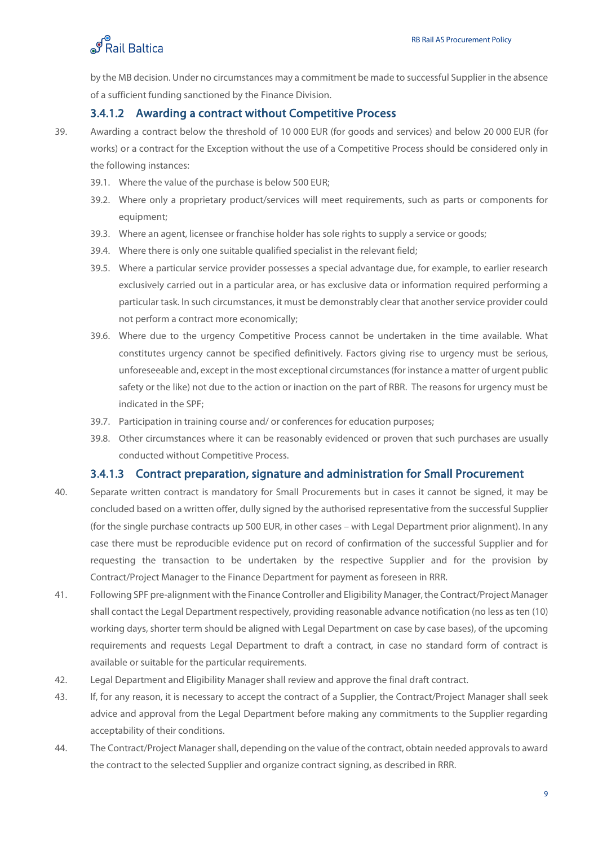by the MB decision. Under no circumstances may a commitment be made to successful Supplier in the absence of a sufficient funding sanctioned by the Finance Division.

#### 3.4.1.2 Awarding a contract without Competitive Process

39. Awarding a contract below the threshold of 10 000 EUR (for goods and services) and below 20 000 EUR (for works) or a contract for the Exception without the use of a Competitive Process should be considered only in the following instances:

- 39.1. Where the value of the purchase is below 500 EUR;
- 39.2. Where only a proprietary product/services will meet requirements, such as parts or components for equipment;
- 39.3. Where an agent, licensee or franchise holder has sole rights to supply a service or goods;
- 39.4. Where there is only one suitable qualified specialist in the relevant field;
- 39.5. Where a particular service provider possesses a special advantage due, for example, to earlier research exclusively carried out in a particular area, or has exclusive data or information required performing a particular task. In such circumstances, it must be demonstrably clear that another service provider could not perform a contract more economically;
- 39.6. Where due to the urgency Competitive Process cannot be undertaken in the time available. What constitutes urgency cannot be specified definitively. Factors giving rise to urgency must be serious, unforeseeable and, except in the most exceptional circumstances (for instance a matter of urgent public safety or the like) not due to the action or inaction on the part of RBR. The reasons for urgency must be indicated in the SPF;
- 39.7. Participation in training course and/ or conferences for education purposes;
- 39.8. Other circumstances where it can be reasonably evidenced or proven that such purchases are usually conducted without Competitive Process.

#### 3.4.1.3 Contract preparation, signature and administration for Small Procurement

- 40. Separate written contract is mandatory for Small Procurements but in cases it cannot be signed, it may be concluded based on a written offer, dully signed by the authorised representative from the successful Supplier (for the single purchase contracts up 500 EUR, in other cases – with Legal Department prior alignment). In any case there must be reproducible evidence put on record of confirmation of the successful Supplier and for requesting the transaction to be undertaken by the respective Supplier and for the provision by Contract/Project Manager to the Finance Department for payment as foreseen in RRR.
- 41. Following SPF pre-alignment with the Finance Controller and Eligibility Manager, the Contract/Project Manager shall contact the Legal Department respectively, providing reasonable advance notification (no less as ten (10) working days, shorter term should be aligned with Legal Department on case by case bases), of the upcoming requirements and requests Legal Department to draft a contract, in case no standard form of contract is available or suitable for the particular requirements.
- 42. Legal Department and Eligibility Manager shall review and approve the final draft contract.
- 43. If, for any reason, it is necessary to accept the contract of a Supplier, the Contract/Project Manager shall seek advice and approval from the Legal Department before making any commitments to the Supplier regarding acceptability of their conditions.
- 44. The Contract/Project Manager shall, depending on the value of the contract, obtain needed approvals to award the contract to the selected Supplier and organize contract signing, as described in RRR.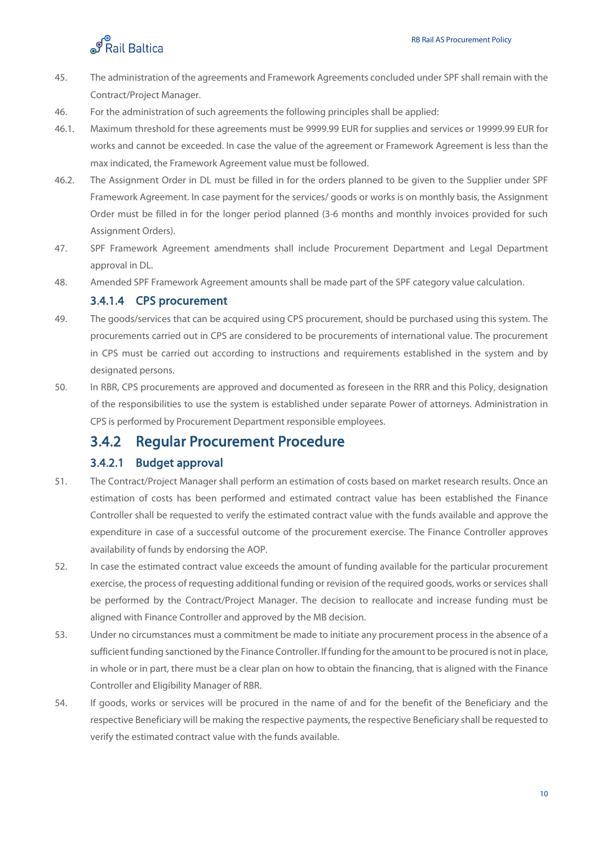- 45. The administration of the agreements and Framework Agreements concluded under SPF shall remain with the Contract/Project Manager.
- 46. For the administration of such agreements the following principles shall be applied:
- 46.1. Maximum threshold for these agreements must be 9999.99 EUR for supplies and services or 19999.99 EUR for works and cannot be exceeded. In case the value of the agreement or Framework Agreement is less than the max indicated, the Framework Agreement value must be followed.
- 46.2. The Assignment Order in DL must be filled in for the orders planned to be given to the Supplier under SPF Framework Agreement. In case payment for the services/ goods or works is on monthly basis, the Assignment Order must be filled in for the longer period planned (3-6 months and monthly invoices provided for such Assignment Orders).
- 47. SPF Framework Agreement amendments shall include Procurement Department and Legal Department approval in DL.
- 48. Amended SPF Framework Agreement amounts shall be made part of the SPF category value calculation.

#### 3.4.1.4 CPS procurement

- 49. The goods/services that can be acquired using CPS procurement, should be purchased using this system. The procurements carried out in CPS are considered to be procurements of international value. The procurement in CPS must be carried out according to instructions and requirements established in the system and by designated persons.
- 50. In RBR, CPS procurements are approved and documented as foreseen in the RRR and this Policy, designation of the responsibilities to use the system is established under separate Power of attorneys. Administration in CPS is performed by Procurement Department responsible employees.

### <span id="page-16-0"></span>3.4.2 Regular Procurement Procedure

#### 3.4.2.1 Budget approval

- 51. The Contract/Project Manager shall perform an estimation of costs based on market research results. Once an estimation of costs has been performed and estimated contract value has been established the Finance Controller shall be requested to verify the estimated contract value with the funds available and approve the expenditure in case of a successful outcome of the procurement exercise. The Finance Controller approves availability of funds by endorsing the AOP.
- 52. In case the estimated contract value exceeds the amount of funding available for the particular procurement exercise, the process of requesting additional funding or revision of the required goods, works or services shall be performed by the Contract/Project Manager. The decision to reallocate and increase funding must be aligned with Finance Controller and approved by the MB decision.
- 53. Under no circumstances must a commitment be made to initiate any procurement process in the absence of a sufficient funding sanctioned by the Finance Controller. If funding for the amount to be procured is not in place, in whole or in part, there must be a clear plan on how to obtain the financing, that is aligned with the Finance Controller and Eligibility Manager of RBR.
- 54. If goods, works or services will be procured in the name of and for the benefit of the Beneficiary and the respective Beneficiary will be making the respective payments, the respective Beneficiary shall be requested to verify the estimated contract value with the funds available.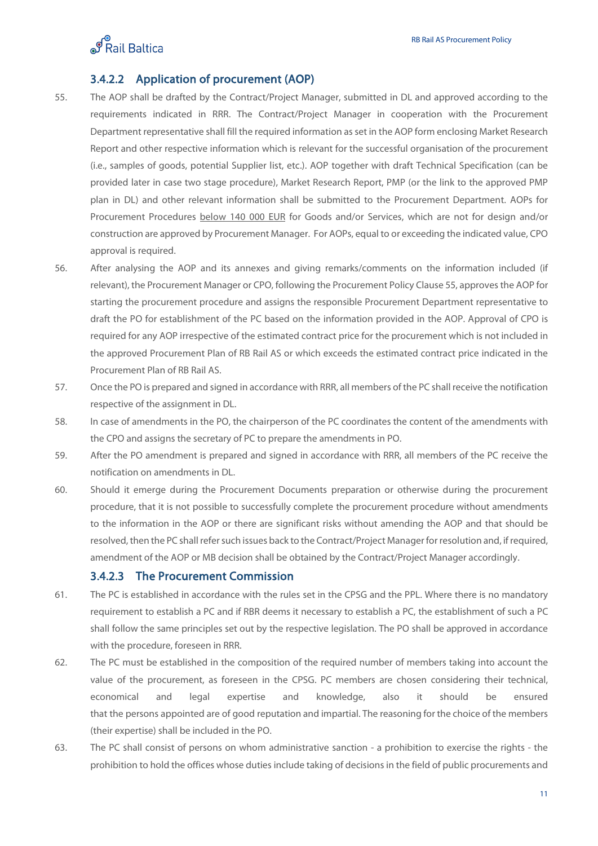

#### 3.4.2.2 Application of procurement (AOP)

- 55. The AOP shall be drafted by the Contract/Project Manager, submitted in DL and approved according to the requirements indicated in RRR. The Contract/Project Manager in cooperation with the Procurement Department representative shall fill the required information as set in the AOP form enclosing Market Research Report and other respective information which is relevant for the successful organisation of the procurement (i.e., samples of goods, potential Supplier list, etc.). AOP together with draft Technical Specification (can be provided later in case two stage procedure), Market Research Report, PMP (or the link to the approved PMP plan in DL) and other relevant information shall be submitted to the Procurement Department. AOPs for Procurement Procedures below 140 000 EUR for Goods and/or Services, which are not for design and/or construction are approved by Procurement Manager. For AOPs, equal to or exceeding the indicated value, CPO approval is required.
- 56. After analysing the AOP and its annexes and giving remarks/comments on the information included (if relevant), the Procurement Manager or CPO, following the Procurement Policy Clause 55, approves the AOP for starting the procurement procedure and assigns the responsible Procurement Department representative to draft the PO for establishment of the PC based on the information provided in the AOP. Approval of CPO is required for any AOP irrespective of the estimated contract price for the procurement which is not included in the approved Procurement Plan of RB Rail AS or which exceeds the estimated contract price indicated in the Procurement Plan of RB Rail AS.
- 57. Once the PO is prepared and signed in accordance with RRR, all members of the PC shall receive the notification respective of the assignment in DL.
- 58. In case of amendments in the PO, the chairperson of the PC coordinates the content of the amendments with the CPO and assigns the secretary of PC to prepare the amendments in PO.
- 59. After the PO amendment is prepared and signed in accordance with RRR, all members of the PC receive the notification on amendments in DL.
- 60. Should it emerge during the Procurement Documents preparation or otherwise during the procurement procedure, that it is not possible to successfully complete the procurement procedure without amendments to the information in the AOP or there are significant risks without amending the AOP and that should be resolved, then the PC shall refer such issues back to the Contract/Project Manager for resolution and, if required, amendment of the AOP or MB decision shall be obtained by the Contract/Project Manager accordingly.

#### 3.4.2.3 The Procurement Commission

- 61. The PC is established in accordance with the rules set in the CPSG and the PPL. Where there is no mandatory requirement to establish a PC and if RBR deems it necessary to establish a PC, the establishment of such a PC shall follow the same principles set out by the respective legislation. The PO shall be approved in accordance with the procedure, foreseen in RRR.
- 62. The PC must be established in the composition of the required number of members taking into account the value of the procurement, as foreseen in the CPSG. PC members are chosen considering their technical, economical and legal expertise and knowledge, also it should be ensured that the persons appointed are of good reputation and impartial. The reasoning for the choice of the members (their expertise) shall be included in the PO.
- 63. The PC shall consist of persons on whom administrative sanction a prohibition to exercise the rights the prohibition to hold the offices whose duties include taking of decisions in the field of public procurements and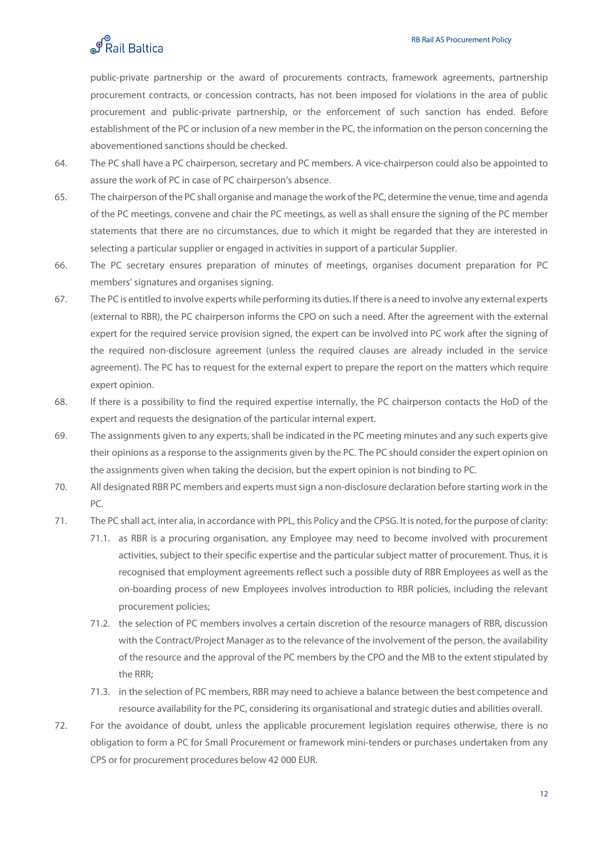public-private partnership or the award of procurements contracts, framework agreements, partnership procurement contracts, or concession contracts, has not been imposed for violations in the area of public procurement and public-private partnership, or the enforcement of such sanction has ended. Before establishment of the PC or inclusion of a new member in the PC, the information on the person concerning the abovementioned sanctions should be checked.

- 64. The PC shall have a PC chairperson, secretary and PC members. A vice-chairperson could also be appointed to assure the work of PC in case of PC chairperson's absence.
- 65. The chairperson of the PC shall organise and manage the work of the PC, determine the venue, time and agenda of the PC meetings, convene and chair the PC meetings, as well as shall ensure the signing of the PC member statements that there are no circumstances, due to which it might be regarded that they are interested in selecting a particular supplier or engaged in activities in support of a particular Supplier.
- 66. The PC secretary ensures preparation of minutes of meetings, organises document preparation for PC members' signatures and organises signing.
- 67. The PC is entitled to involve experts while performing its duties. If there is a need to involve any external experts (external to RBR), the PC chairperson informs the CPO on such a need. After the agreement with the external expert for the required service provision signed, the expert can be involved into PC work after the signing of the required non-disclosure agreement (unless the required clauses are already included in the service agreement). The PC has to request for the external expert to prepare the report on the matters which require expert opinion.
- 68. If there is a possibility to find the required expertise internally, the PC chairperson contacts the HoD of the expert and requests the designation of the particular internal expert.
- 69. The assignments given to any experts, shall be indicated in the PC meeting minutes and any such experts give their opinions as a response to the assignments given by the PC. The PC should consider the expert opinion on the assignments given when taking the decision, but the expert opinion is not binding to PC.
- 70. All designated RBR PC members and experts must sign a non-disclosure declaration before starting work in the PC.
- 71. The PC shall act, inter alia, in accordance with PPL, this Policy and the CPSG. It is noted, for the purpose of clarity:
	- 71.1. as RBR is a procuring organisation, any Employee may need to become involved with procurement activities, subject to their specific expertise and the particular subject matter of procurement. Thus, it is recognised that employment agreements reflect such a possible duty of RBR Employees as well as the on-boarding process of new Employees involves introduction to RBR policies, including the relevant procurement policies;
	- 71.2. the selection of PC members involves a certain discretion of the resource managers of RBR, discussion with the Contract/Project Manager as to the relevance of the involvement of the person, the availability of the resource and the approval of the PC members by the CPO and the MB to the extent stipulated by the RRR;
	- 71.3. in the selection of PC members, RBR may need to achieve a balance between the best competence and resource availability for the PC, considering its organisational and strategic duties and abilities overall.
- 72. For the avoidance of doubt, unless the applicable procurement legislation requires otherwise, there is no obligation to form a PC for Small Procurement or framework mini-tenders or purchases undertaken from any CPS or for procurement procedures below 42 000 EUR.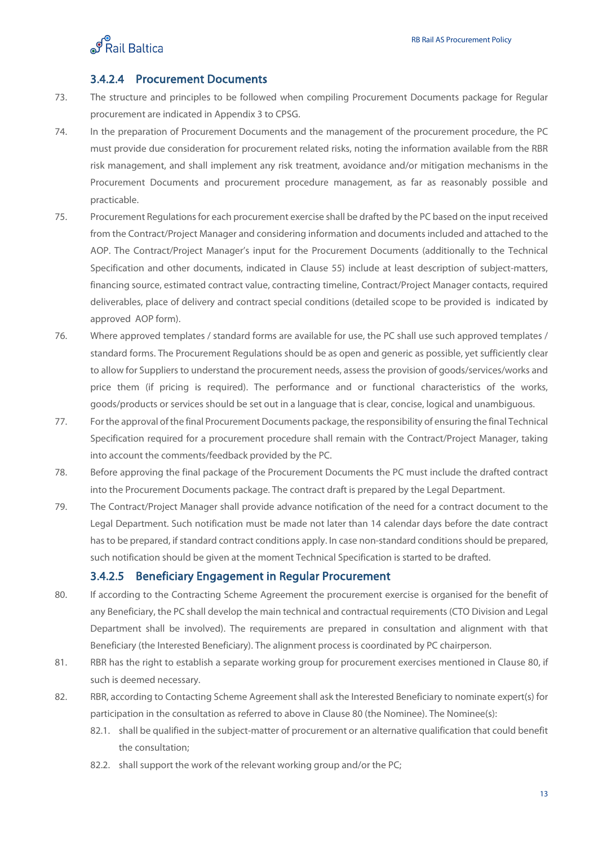

#### 3.4.2.4 Procurement Documents

- 73. The structure and principles to be followed when compiling Procurement Documents package for Regular procurement are indicated in Appendix 3 to CPSG.
- 74. In the preparation of Procurement Documents and the management of the procurement procedure, the PC must provide due consideration for procurement related risks, noting the information available from the RBR risk management, and shall implement any risk treatment, avoidance and/or mitigation mechanisms in the Procurement Documents and procurement procedure management, as far as reasonably possible and practicable.
- 75. Procurement Regulations for each procurement exercise shall be drafted by the PC based on the input received from the Contract/Project Manager and considering information and documents included and attached to the AOP. The Contract/Project Manager's input for the Procurement Documents (additionally to the Technical Specification and other documents, indicated in Clause 55) include at least description of subject-matters, financing source, estimated contract value, contracting timeline, Contract/Project Manager contacts, required deliverables, place of delivery and contract special conditions (detailed scope to be provided is indicated by approved AOP form).
- 76. Where approved templates / standard forms are available for use, the PC shall use such approved templates / standard forms. The Procurement Regulations should be as open and generic as possible, yet sufficiently clear to allow for Suppliers to understand the procurement needs, assess the provision of goods/services/works and price them (if pricing is required). The performance and or functional characteristics of the works, goods/products or services should be set out in a language that is clear, concise, logical and unambiguous.
- 77. For the approval of the final Procurement Documents package, the responsibility of ensuring the final Technical Specification required for a procurement procedure shall remain with the Contract/Project Manager, taking into account the comments/feedback provided by the PC.
- 78. Before approving the final package of the Procurement Documents the PC must include the drafted contract into the Procurement Documents package. The contract draft is prepared by the Legal Department.
- 79. The Contract/Project Manager shall provide advance notification of the need for a contract document to the Legal Department. Such notification must be made not later than 14 calendar days before the date contract has to be prepared, if standard contract conditions apply. In case non-standard conditions should be prepared, such notification should be given at the moment Technical Specification is started to be drafted.

#### 3.4.2.5 Beneficiary Engagement in Regular Procurement

- 80. If according to the Contracting Scheme Agreement the procurement exercise is organised for the benefit of any Beneficiary, the PC shall develop the main technical and contractual requirements (CTO Division and Legal Department shall be involved). The requirements are prepared in consultation and alignment with that Beneficiary (the Interested Beneficiary). The alignment process is coordinated by PC chairperson.
- 81. RBR has the right to establish a separate working group for procurement exercises mentioned in Clause 80, if such is deemed necessary.
- 82. RBR, according to Contacting Scheme Agreement shall ask the Interested Beneficiary to nominate expert(s) for participation in the consultation as referred to above in Clause 80 (the Nominee). The Nominee(s):
	- 82.1. shall be qualified in the subject-matter of procurement or an alternative qualification that could benefit the consultation;
	- 82.2. shall support the work of the relevant working group and/or the PC;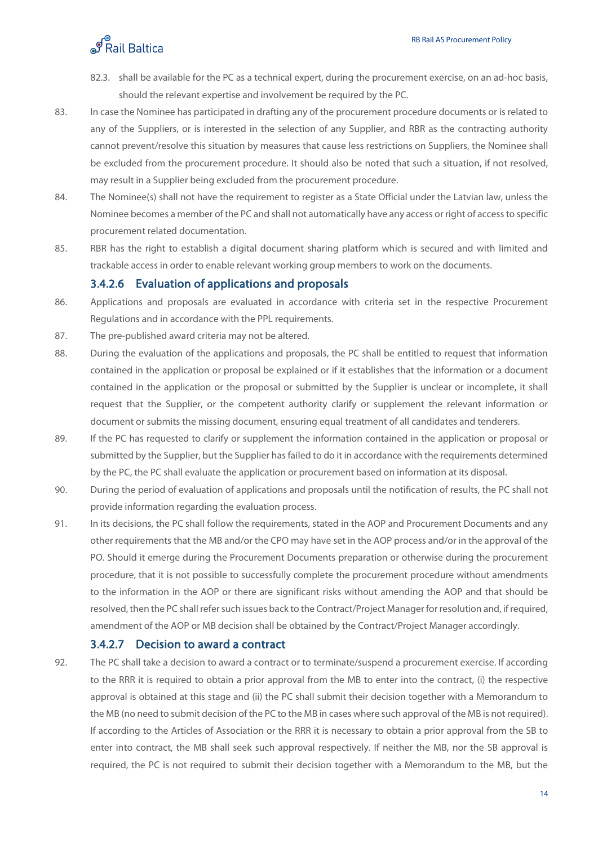- 82.3. shall be available for the PC as a technical expert, during the procurement exercise, on an ad-hoc basis, should the relevant expertise and involvement be required by the PC.
- 83. In case the Nominee has participated in drafting any of the procurement procedure documents or is related to any of the Suppliers, or is interested in the selection of any Supplier, and RBR as the contracting authority cannot prevent/resolve this situation by measures that cause less restrictions on Suppliers, the Nominee shall be excluded from the procurement procedure. It should also be noted that such a situation, if not resolved, may result in a Supplier being excluded from the procurement procedure.
- 84. The Nominee(s) shall not have the requirement to register as a State Official under the Latvian law, unless the Nominee becomes a member of the PC and shall not automatically have any access or right of access to specific procurement related documentation.
- 85. RBR has the right to establish a digital document sharing platform which is secured and with limited and trackable access in order to enable relevant working group members to work on the documents.

#### 3.4.2.6 Evaluation of applications and proposals

- 86. Applications and proposals are evaluated in accordance with criteria set in the respective Procurement Regulations and in accordance with the PPL requirements.
- 87. The pre-published award criteria may not be altered.
- 88. During the evaluation of the applications and proposals, the PC shall be entitled to request that information contained in the application or proposal be explained or if it establishes that the information or a document contained in the application or the proposal or submitted by the Supplier is unclear or incomplete, it shall request that the Supplier, or the competent authority clarify or supplement the relevant information or document or submits the missing document, ensuring equal treatment of all candidates and tenderers.
- 89. If the PC has requested to clarify or supplement the information contained in the application or proposal or submitted by the Supplier, but the Supplier has failed to do it in accordance with the requirements determined by the PC, the PC shall evaluate the application or procurement based on information at its disposal.
- 90. During the period of evaluation of applications and proposals until the notification of results, the PC shall not provide information regarding the evaluation process.
- 91. In its decisions, the PC shall follow the requirements, stated in the AOP and Procurement Documents and any other requirements that the MB and/or the CPO may have set in the AOP process and/or in the approval of the PO. Should it emerge during the Procurement Documents preparation or otherwise during the procurement procedure, that it is not possible to successfully complete the procurement procedure without amendments to the information in the AOP or there are significant risks without amending the AOP and that should be resolved, then the PC shall refer such issues back to the Contract/Project Manager for resolution and, if required, amendment of the AOP or MB decision shall be obtained by the Contract/Project Manager accordingly.

#### 3.4.2.7 Decision to award a contract

92. The PC shall take a decision to award a contract or to terminate/suspend a procurement exercise. If according to the RRR it is required to obtain a prior approval from the MB to enter into the contract, (i) the respective approval is obtained at this stage and (ii) the PC shall submit their decision together with a Memorandum to the MB (no need to submit decision of the PC to the MB in cases where such approval of the MB is not required). If according to the Articles of Association or the RRR it is necessary to obtain a prior approval from the SB to enter into contract, the MB shall seek such approval respectively. If neither the MB, nor the SB approval is required, the PC is not required to submit their decision together with a Memorandum to the MB, but the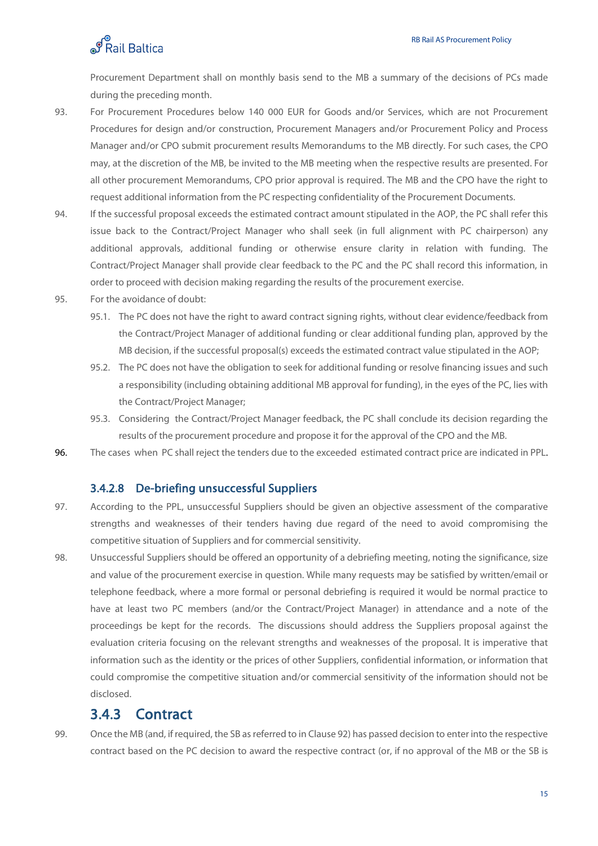

Procurement Department shall on monthly basis send to the MB a summary of the decisions of PCs made during the preceding month.

- 93. For Procurement Procedures below 140 000 EUR for Goods and/or Services, which are not Procurement Procedures for design and/or construction, Procurement Managers and/or Procurement Policy and Process Manager and/or CPO submit procurement results Memorandums to the MB directly. For such cases, the CPO may, at the discretion of the MB, be invited to the MB meeting when the respective results are presented. For all other procurement Memorandums, CPO prior approval is required. The MB and the CPO have the right to request additional information from the PC respecting confidentiality of the Procurement Documents.
- 94. If the successful proposal exceeds the estimated contract amount stipulated in the AOP, the PC shall refer this issue back to the Contract/Project Manager who shall seek (in full alignment with PC chairperson) any additional approvals, additional funding or otherwise ensure clarity in relation with funding. The Contract/Project Manager shall provide clear feedback to the PC and the PC shall record this information, in order to proceed with decision making regarding the results of the procurement exercise.
- 95. For the avoidance of doubt:
	- 95.1. The PC does not have the right to award contract signing rights, without clear evidence/feedback from the Contract/Project Manager of additional funding or clear additional funding plan, approved by the MB decision, if the successful proposal(s) exceeds the estimated contract value stipulated in the AOP;
	- 95.2. The PC does not have the obligation to seek for additional funding or resolve financing issues and such a responsibility (including obtaining additional MB approval for funding), in the eyes of the PC, lies with the Contract/Project Manager;
	- 95.3. Considering the Contract/Project Manager feedback, the PC shall conclude its decision regarding the results of the procurement procedure and propose it for the approval of the CPO and the MB.
- 96. The cases when PC shall reject the tenders due to the exceeded estimated contract price are indicated in PPL.

#### 3.4.2.8 De-briefing unsuccessful Suppliers

- 97. According to the PPL, unsuccessful Suppliers should be given an objective assessment of the comparative strengths and weaknesses of their tenders having due regard of the need to avoid compromising the competitive situation of Suppliers and for commercial sensitivity.
- 98. Unsuccessful Suppliers should be offered an opportunity of a debriefing meeting, noting the significance, size and value of the procurement exercise in question. While many requests may be satisfied by written/email or telephone feedback, where a more formal or personal debriefing is required it would be normal practice to have at least two PC members (and/or the Contract/Project Manager) in attendance and a note of the proceedings be kept for the records. The discussions should address the Suppliers proposal against the evaluation criteria focusing on the relevant strengths and weaknesses of the proposal. It is imperative that information such as the identity or the prices of other Suppliers, confidential information, or information that could compromise the competitive situation and/or commercial sensitivity of the information should not be disclosed.

#### <span id="page-21-0"></span>3.4.3 Contract

99. Once the MB (and, if required, the SB as referred to in Clause 92) has passed decision to enter into the respective contract based on the PC decision to award the respective contract (or, if no approval of the MB or the SB is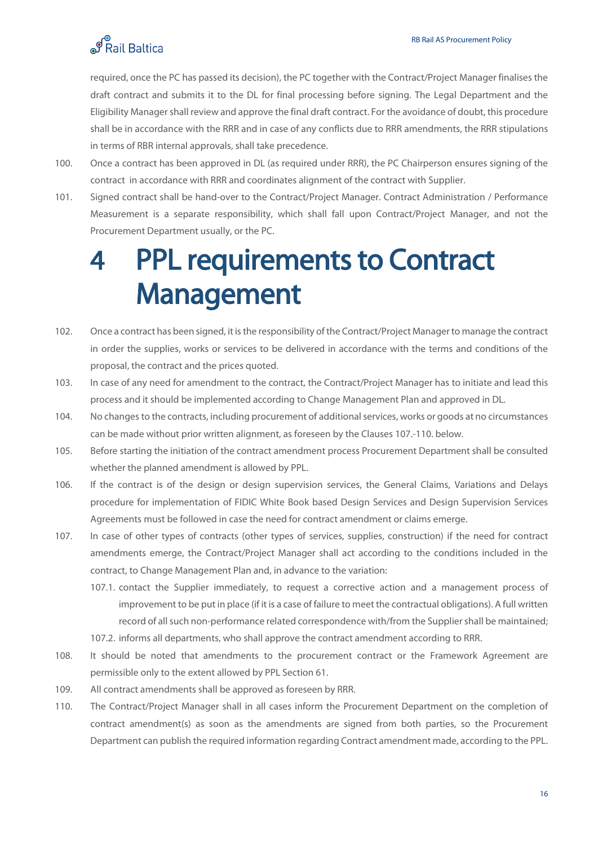

required, once the PC has passed its decision), the PC together with the Contract/Project Manager finalises the draft contract and submits it to the DL for final processing before signing. The Legal Department and the Eligibility Manager shall review and approve the final draft contract. For the avoidance of doubt, this procedure shall be in accordance with the RRR and in case of any conflicts due to RRR amendments, the RRR stipulations in terms of RBR internal approvals, shall take precedence.

- 100. Once a contract has been approved in DL (as required under RRR), the PC Chairperson ensures signing of the contract in accordance with RRR and coordinates alignment of the contract with Supplier.
- 101. Signed contract shall be hand-over to the Contract/Project Manager. Contract Administration / Performance Measurement is a separate responsibility, which shall fall upon Contract/Project Manager, and not the Procurement Department usually, or the PC.

## <span id="page-22-0"></span>4 PPL requirements to Contract Management

- 102. Once a contract has been signed, it is the responsibility of the Contract/Project Manager to manage the contract in order the supplies, works or services to be delivered in accordance with the terms and conditions of the proposal, the contract and the prices quoted.
- 103. In case of any need for amendment to the contract, the Contract/Project Manager has to initiate and lead this process and it should be implemented according to Change Management Plan and approved in DL.
- 104. No changes to the contracts, including procurement of additional services, works or goods at no circumstances can be made without prior written alignment, as foreseen by the Clauses 107.-110. below.
- 105. Before starting the initiation of the contract amendment process Procurement Department shall be consulted whether the planned amendment is allowed by PPL.
- 106. If the contract is of the design or design supervision services, the General Claims, Variations and Delays procedure for implementation of FIDIC White Book based Design Services and Design Supervision Services Agreements must be followed in case the need for contract amendment or claims emerge.
- 107. In case of other types of contracts (other types of services, supplies, construction) if the need for contract amendments emerge, the Contract/Project Manager shall act according to the conditions included in the contract, to Change Management Plan and, in advance to the variation:
	- 107.1. contact the Supplier immediately, to request a corrective action and a management process of improvement to be put in place (if it is a case of failure to meet the contractual obligations). A full written record of all such non-performance related correspondence with/from the Supplier shall be maintained;
	- 107.2. informs all departments, who shall approve the contract amendment according to RRR.
- 108. It should be noted that amendments to the procurement contract or the Framework Agreement are permissible only to the extent allowed by PPL Section 61.
- 109. All contract amendments shall be approved as foreseen by RRR.
- 110. The Contract/Project Manager shall in all cases inform the Procurement Department on the completion of contract amendment(s) as soon as the amendments are signed from both parties, so the Procurement Department can publish the required information regarding Contract amendment made, according to the PPL.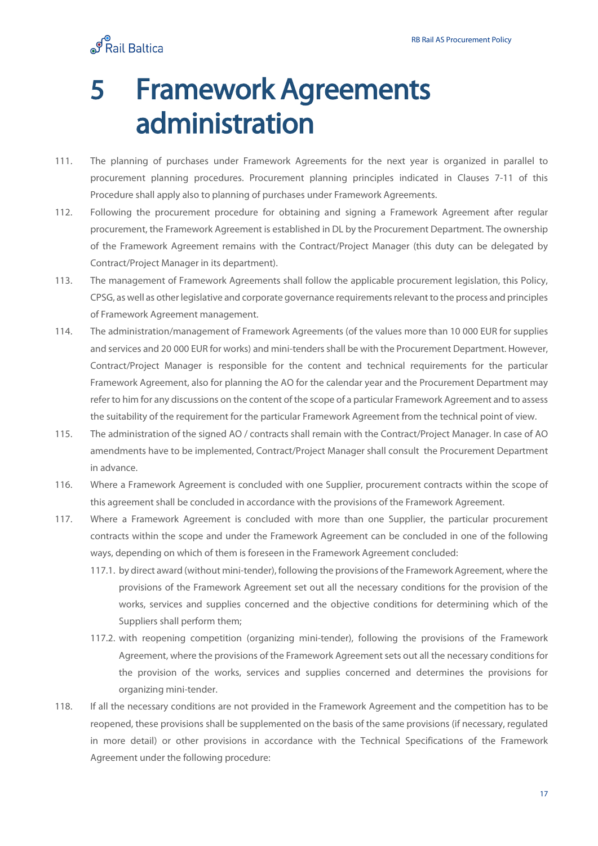ெ<br>சிRail Baltica

## <span id="page-23-0"></span>5 Framework Agreements administration

- 111. The planning of purchases under Framework Agreements for the next year is organized in parallel to procurement planning procedures. Procurement planning principles indicated in Clauses 7-11 of this Procedure shall apply also to planning of purchases under Framework Agreements.
- 112. Following the procurement procedure for obtaining and signing a Framework Agreement after regular procurement, the Framework Agreement is established in DL by the Procurement Department. The ownership of the Framework Agreement remains with the Contract/Project Manager (this duty can be delegated by Contract/Project Manager in its department).
- 113. The management of Framework Agreements shall follow the applicable procurement legislation, this Policy, CPSG, as well as other legislative and corporate governance requirements relevant to the process and principles of Framework Agreement management.
- 114. The administration/management of Framework Agreements (of the values more than 10 000 EUR for supplies and services and 20 000 EUR for works) and mini-tenders shall be with the Procurement Department. However, Contract/Project Manager is responsible for the content and technical requirements for the particular Framework Agreement, also for planning the AO for the calendar year and the Procurement Department may refer to him for any discussions on the content of the scope of a particular Framework Agreement and to assess the suitability of the requirement for the particular Framework Agreement from the technical point of view.
- 115. The administration of the signed AO / contracts shall remain with the Contract/Project Manager. In case of AO amendments have to be implemented, Contract/Project Manager shall consult the Procurement Department in advance.
- 116. Where a Framework Agreement is concluded with one Supplier, procurement contracts within the scope of this agreement shall be concluded in accordance with the provisions of the Framework Agreement.
- 117. Where a Framework Agreement is concluded with more than one Supplier, the particular procurement contracts within the scope and under the Framework Agreement can be concluded in one of the following ways, depending on which of them is foreseen in the Framework Agreement concluded:
	- 117.1. by direct award (without mini-tender), following the provisions of the Framework Agreement, where the provisions of the Framework Agreement set out all the necessary conditions for the provision of the works, services and supplies concerned and the objective conditions for determining which of the Suppliers shall perform them;
	- 117.2. with reopening competition (organizing mini-tender), following the provisions of the Framework Agreement, where the provisions of the Framework Agreement sets out all the necessary conditions for the provision of the works, services and supplies concerned and determines the provisions for organizing mini-tender.
- 118. If all the necessary conditions are not provided in the Framework Agreement and the competition has to be reopened, these provisions shall be supplemented on the basis of the same provisions (if necessary, regulated in more detail) or other provisions in accordance with the Technical Specifications of the Framework Agreement under the following procedure: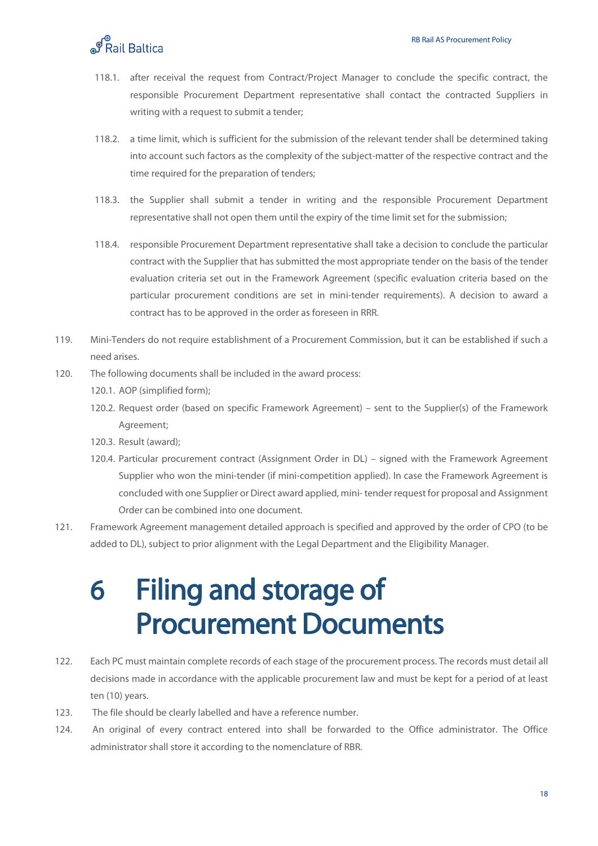- 118.1. after receival the request from Contract/Project Manager to conclude the specific contract, the responsible Procurement Department representative shall contact the contracted Suppliers in writing with a request to submit a tender;
- 118.2. a time limit, which is sufficient for the submission of the relevant tender shall be determined taking into account such factors as the complexity of the subject-matter of the respective contract and the time required for the preparation of tenders;
- 118.3. the Supplier shall submit a tender in writing and the responsible Procurement Department representative shall not open them until the expiry of the time limit set for the submission;
- 118.4. responsible Procurement Department representative shall take a decision to conclude the particular contract with the Supplier that has submitted the most appropriate tender on the basis of the tender evaluation criteria set out in the Framework Agreement (specific evaluation criteria based on the particular procurement conditions are set in mini-tender requirements). A decision to award a contract has to be approved in the order as foreseen in RRR.
- 119. Mini-Tenders do not require establishment of a Procurement Commission, but it can be established if such a need arises.
- 120. The following documents shall be included in the award process:
	- 120.1. AOP (simplified form);
	- 120.2. Request order (based on specific Framework Agreement) sent to the Supplier(s) of the Framework Agreement;
	- 120.3. Result (award);
	- 120.4. Particular procurement contract (Assignment Order in DL) signed with the Framework Agreement Supplier who won the mini-tender (if mini-competition applied). In case the Framework Agreement is concluded with one Supplier or Direct award applied, mini- tender request for proposal and Assignment Order can be combined into one document.
- 121. Framework Agreement management detailed approach is specified and approved by the order of CPO (to be added to DL), subject to prior alignment with the Legal Department and the Eligibility Manager.

## <span id="page-24-0"></span>6 Filing and storage of Procurement Documents

- 122. Each PC must maintain complete records of each stage of the procurement process. The records must detail all decisions made in accordance with the applicable procurement law and must be kept for a period of at least ten (10) years.
- 123. The file should be clearly labelled and have a reference number.
- 124. An original of every contract entered into shall be forwarded to the Office administrator. The Office administrator shall store it according to the nomenclature of RBR.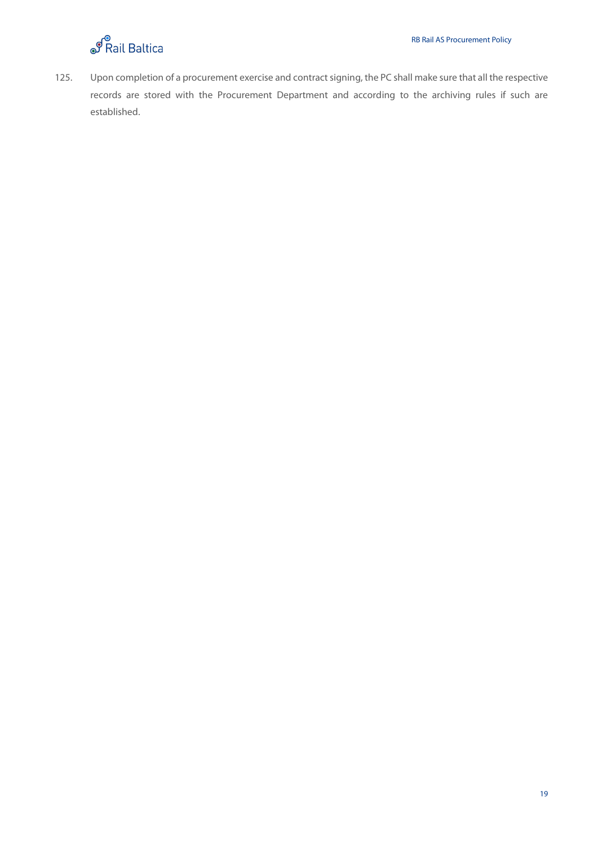

125. Upon completion of a procurement exercise and contract signing, the PC shall make sure that all the respective records are stored with the Procurement Department and according to the archiving rules if such are established.